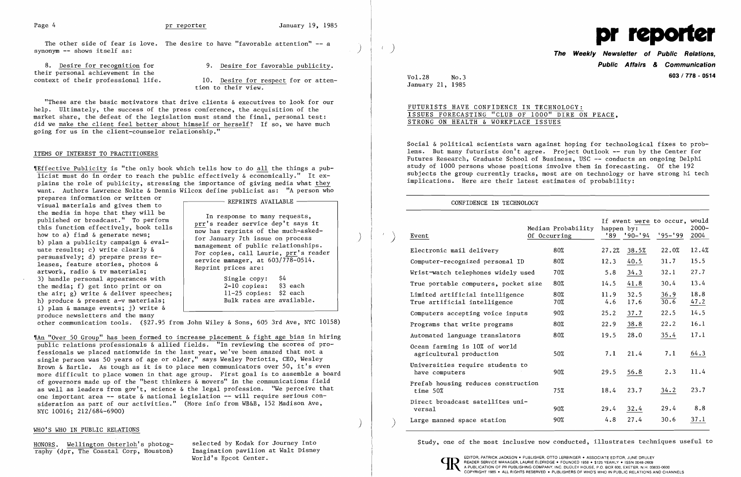The other side of fear is love. The desire to have "favorable attention" -- a synonym -- shows itself as:

their personal achievement in the<br>context of their professional life.

10. Desire for respect for or attention to their view.

8. Desire for recognition for 9. Desire for favorable publicity.

'IEffective Publicity is "the only book which tells how to do all the things a publicist must do in order to reach the public effectively  $\&$  economically." It explains the role of publicity, stressing the importance of giving media what they want. Authors Lawrence Nolte & Dennis Wilcox define publicist as: "A person who

"These are the basic motivators that drive clients & executives to look for our help. Ultimately, the success of the press conference, the acquisition of the market share, the defeat of the legislation must stand the final, personal test: did we make the client feel better about himself or herself? If so, we have much going for us in the client-counselor relationship."

## ITEMS OF INTEREST TO PRACTITIONERS

Single copy: \$4<br>2-10 copies: \$3 each  $2-10$  copies: 11-25 copies: \$2 each Bulk rates are available.

prepares information or written or  $\qquad \qquad$  REPRINTS AVAILABLE visual materials and gives them to the media in hope that they will be In response to many requests, published or broadcast." To perform this function effectively, book tells how has reprints of the much-asked-<br>how to a) find & generate news; The state of the much-asked-<br>
how to a) find & generate news;<br>
b) plan a publicity campaign & eval-<br>
uate results; c) write clearly &<br>
persuasively; d) prepare press re-<br>
leases, feature stories, photos &<br>
artwork, radio & 3) handle personal appearances with the media; f) get into print or on the air; g) write & deliver speeches; h) produce & present a-v materials; i) plan & manage events; j) write & produce newsletters and the many

Wha "Over 50 Group" has been formed to increase placement & fight age bias in hiring public relations professionals & allied fields. "In reviewing the scores of professionals we placed nationwide in the last year, we've been amazed that not a single person was 50 years of age or older," says Wesley Poriotis, CEO, Wesley Brown & Bartle. As tough as it is to place men communicators over 50, it's even more difficult to place women in that age group. First goal is to assemble a board of governors made up of the "best thinkers & movers" in the communications field as well as leaders from gov't, science & the legal profession. "We perceive that one important area -- state & national legislation -- will require serious consideration as part of our activities." (More info from WB&B, 152 Madison Ave, NYC 10016; 212/684-6900)

**Public Affairs & Communication 603/778 - <sup>0514</sup>**

other communication tools. (\$27.95 from John Wiley & Sons, 605 3rd Ave, NYC 10158)

### ) WHO'S WHO IN PUBLIC RELATIONS

 $\overline{\text{raphy}}$  (dpr, The Coastal Corp, Houston) Imagination pavilion at World's Epcot Center.



Vol. 28 No.3 January 21, 1985

# FUTURISTS HAVE CONFIDENCE IN TECHNOLOGY: ISSUES FORECASTING "CLUB OF 1000" DIRE ON PEACE, STRONG ON HEALTH & WORKPLACE ISSUES

Social & political scientists warn against hoping for technological fixes to problems. But many futurists don't agree. Project Outlook -- run by the Center for Futures Research, Graduate School of Business, USC -- conducts an ongoing Delphi study of 1000 persons whose positions involve them in forecasting. Of the 192 subjects the group currently tracks, most are on technology or have strong hi tech implications. Here are their latest estimates of probability:

## CONFIDENCE IN TECHNOLOGY

| Event                                                           | Median Probability<br>Of Occurring | happen by:<br>'89 | $'90 - '94$  | If event were to occur, would<br>$195 - 199$ | $2000 -$<br>2004 |
|-----------------------------------------------------------------|------------------------------------|-------------------|--------------|----------------------------------------------|------------------|
| Electronic mail delivery                                        | 80%                                | 27.2%             | 38.5%        | 22.0%                                        | 12.4%            |
| Computer-recognized personal ID                                 | 80%                                | 12.3              | 40.5         | 31.7                                         | 15.5             |
| Wrist-watch telephones widely used                              | 70%                                | 5.8               | 34.3         | 32.1                                         | 27.7             |
| True portable computers, pocket size                            | 80%                                | 14.5              | 41.8         | 30.4                                         | 13.4             |
| Limited artificial intelligence<br>True artificial intelligence | 80%<br>70%                         | 11.9<br>4.6       | 32.5<br>17.6 | 36.9<br>30.6                                 | 18.8<br>47.2     |
| Computers accepting voice inputs                                | 90%                                | 25.2              | 37.7         | 22.5                                         | 14.5             |
| Programs that write programs                                    | 80%                                | 22.9              | 38.8         | 22.2                                         | 16.1             |
| Automated language translators                                  | 80%                                | 19.5              | 28.0         | 35.4                                         | 17.1             |
| Ocean farming is 10% of world<br>agricultural production        | 50%                                | 7.1               | 21.4         | 7.1                                          | 64.3             |
| Universities require students to<br>have computers              | 90%                                | 29.5              | 56.8         | 2.3                                          | 11.4             |
| Prefab housing reduces construction<br>time $50\%$              | 75%                                | 18.4              | 23.7         | 34.2                                         | 23.7             |
| Direct broadcast satellites uni-<br>versa1                      | 90%                                | 29.4              | 32.4         | 29.4                                         | 8.8              |
| Large manned space station                                      | 90%                                | 4.8               | 27.4         | 30.6                                         | 37.1             |

HONORS. Wellington Osterloh's photog- selected by Kodak for Journey Into Study, one of the most inclusive now conducted, illustrates techniques useful to raphy (dpr. The Coastal Corp. Houston) Imagination pavilion at Walt